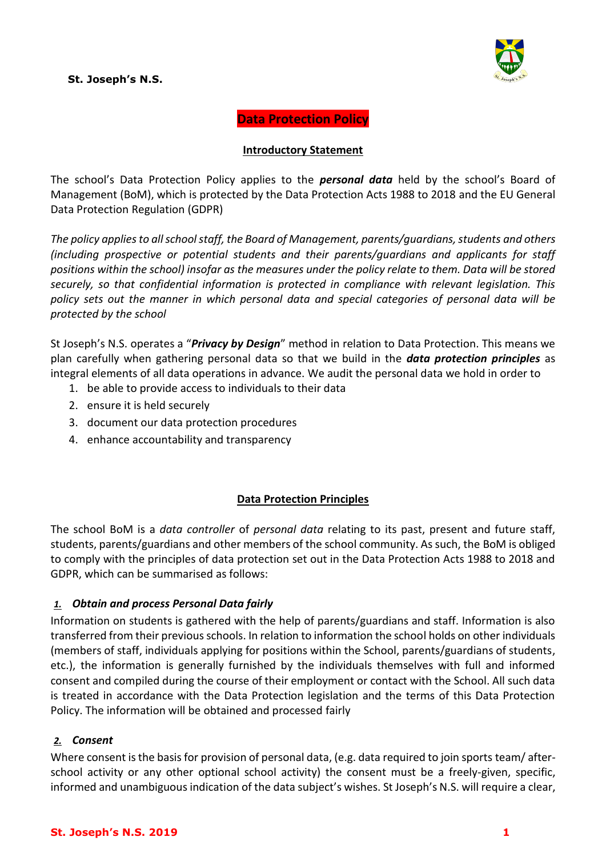## **St. Joseph's N.S.**



**Data Protection Policy**

#### **Introductory Statement**

The school's Data Protection Policy applies to the *personal data* held by the school's Board of Management (BoM), which is protected by the Data Protection Acts 1988 to 2018 and the EU General Data Protection Regulation (GDPR)

*The policy applies to all school staff, the Board of Management, parents/guardians, students and others (including prospective or potential students and their parents/guardians and applicants for staff positions within the school) insofar as the measures under the policy relate to them. Data will be stored securely, so that confidential information is protected in compliance with relevant legislation. This policy sets out the manner in which personal data and special categories of personal data will be protected by the school*

St Joseph's N.S. operates a "*Privacy by Design*" method in relation to Data Protection. This means we plan carefully when gathering personal data so that we build in the *data protection principles* as integral elements of all data operations in advance. We audit the personal data we hold in order to

- 1. be able to provide access to individuals to their data
- 2. ensure it is held securely
- 3. document our data protection procedures
- 4. enhance accountability and transparency

### **Data Protection Principles**

The school BoM is a *data controller* of *personal data* relating to its past, present and future staff, students, parents/guardians and other members of the school community. As such, the BoM is obliged to comply with the principles of data protection set out in the Data Protection Acts 1988 to 2018 and GDPR, which can be summarised as follows:

# *1. Obtain and process Personal Data fairly*

Information on students is gathered with the help of parents/guardians and staff. Information is also transferred from their previous schools. In relation to information the school holds on other individuals (members of staff, individuals applying for positions within the School, parents/guardians of students, etc.), the information is generally furnished by the individuals themselves with full and informed consent and compiled during the course of their employment or contact with the School. All such data is treated in accordance with the Data Protection legislation and the terms of this Data Protection Policy. The information will be obtained and processed fairly

### *2. Consent*

Where consent is the basis for provision of personal data, (e.g. data required to join sports team/ afterschool activity or any other optional school activity) the consent must be a freely-given, specific, informed and unambiguous indication of the data subject's wishes. St Joseph's N.S. will require a clear,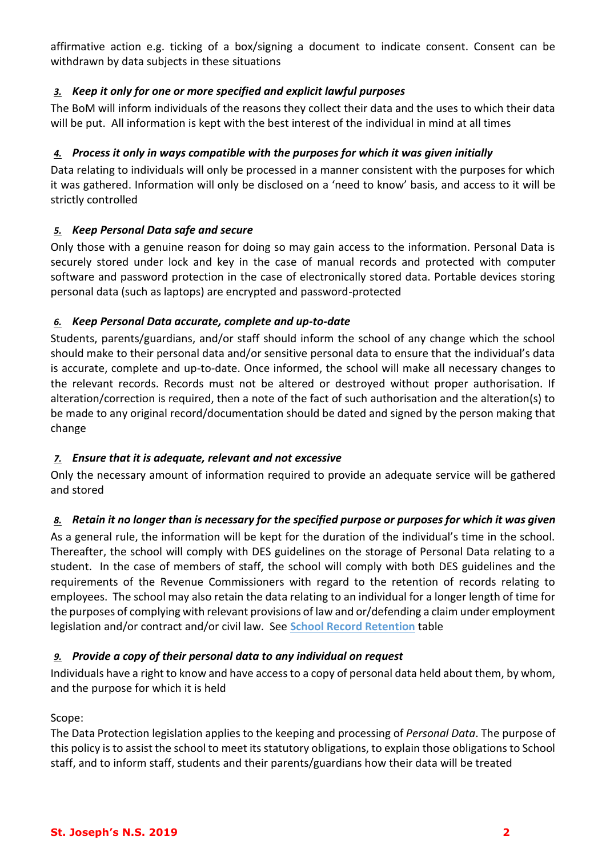affirmative action e.g. ticking of a box/signing a document to indicate consent. Consent can be withdrawn by data subjects in these situations

# *3. Keep it only for one or more specified and explicit lawful purposes*

The BoM will inform individuals of the reasons they collect their data and the uses to which their data will be put. All information is kept with the best interest of the individual in mind at all times

# *4. Process it only in ways compatible with the purposes for which it was given initially*

Data relating to individuals will only be processed in a manner consistent with the purposes for which it was gathered. Information will only be disclosed on a 'need to know' basis, and access to it will be strictly controlled

# *5. Keep Personal Data safe and secure*

Only those with a genuine reason for doing so may gain access to the information. Personal Data is securely stored under lock and key in the case of manual records and protected with computer software and password protection in the case of electronically stored data. Portable devices storing personal data (such as laptops) are encrypted and password-protected

# *6. Keep Personal Data accurate, complete and up-to-date*

Students, parents/guardians, and/or staff should inform the school of any change which the school should make to their personal data and/or sensitive personal data to ensure that the individual's data is accurate, complete and up-to-date. Once informed, the school will make all necessary changes to the relevant records. Records must not be altered or destroyed without proper authorisation. If alteration/correction is required, then a note of the fact of such authorisation and the alteration(s) to be made to any original record/documentation should be dated and signed by the person making that change

# *7. Ensure that it is adequate, relevant and not excessive*

Only the necessary amount of information required to provide an adequate service will be gathered and stored

# *8. Retain it no longer than is necessary for the specified purpose or purposes for which it was given*

As a general rule, the information will be kept for the duration of the individual's time in the school. Thereafter, the school will comply with DES guidelines on the storage of Personal Data relating to a student. In the case of members of staff, the school will comply with both DES guidelines and the requirements of the Revenue Commissioners with regard to the retention of records relating to employees. The school may also retain the data relating to an individual for a longer length of time for the purposes of complying with relevant provisions of law and or/defending a claim under employment legislation and/or contract and/or civil law. See **School Record Retention** table

# *9. Provide a copy of their personal data to any individual on request*

Individuals have a right to know and have access to a copy of personal data held about them, by whom, and the purpose for which it is held

# Scope:

The Data Protection legislation applies to the keeping and processing of *Personal Data*. The purpose of this policy is to assist the school to meet its statutory obligations, to explain those obligations to School staff, and to inform staff, students and their parents/guardians how their data will be treated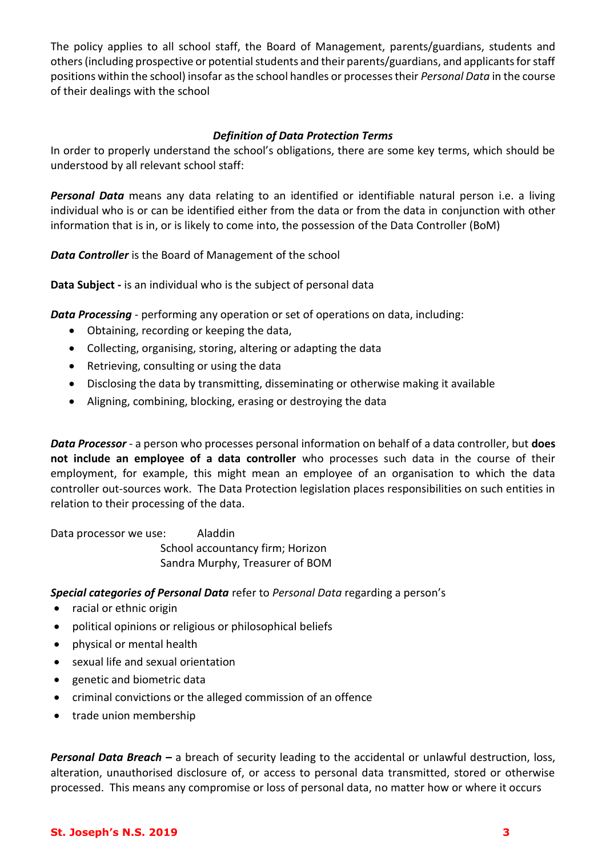The policy applies to all school staff, the Board of Management, parents/guardians, students and others (including prospective or potential students and their parents/guardians, and applicants for staff positions within the school) insofar as the school handles or processes their *Personal Data* in the course of their dealings with the school

### *Definition of Data Protection Terms*

In order to properly understand the school's obligations, there are some key terms, which should be understood by all relevant school staff:

*Personal Data* means any data relating to an identified or identifiable natural person i.e. a living individual who is or can be identified either from the data or from the data in conjunction with other information that is in, or is likely to come into, the possession of the Data Controller (BoM)

*Data Controller* is the Board of Management of the school

**Data Subject** *-* is an individual who is the subject of personal data

*Data Processing* - performing any operation or set of operations on data, including:

- Obtaining, recording or keeping the data,
- Collecting, organising, storing, altering or adapting the data
- Retrieving, consulting or using the data
- Disclosing the data by transmitting, disseminating or otherwise making it available
- Aligning, combining, blocking, erasing or destroying the data

*Data Processor* - a person who processes personal information on behalf of a data controller, but **does not include an employee of a data controller** who processes such data in the course of their employment, for example, this might mean an employee of an organisation to which the data controller out-sources work. The Data Protection legislation places responsibilities on such entities in relation to their processing of the data.

Data processor we use: Aladdin School accountancy firm; Horizon Sandra Murphy, Treasurer of BOM

### *Special categories of Personal Data* refer to *Personal Data* regarding a person's

- racial or ethnic origin
- political opinions or religious or philosophical beliefs
- physical or mental health
- sexual life and sexual orientation
- genetic and biometric data
- criminal convictions or the alleged commission of an offence
- trade union membership

*Personal Data Breach –* a breach of security leading to the accidental or unlawful destruction, loss, alteration, unauthorised disclosure of, or access to personal data transmitted, stored or otherwise processed. This means any compromise or loss of personal data, no matter how or where it occurs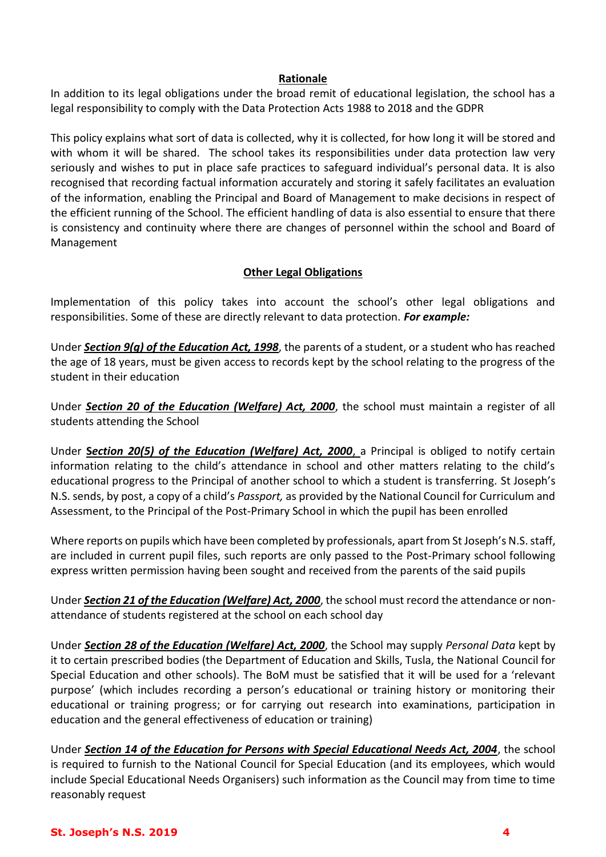### **Rationale**

In addition to its legal obligations under the broad remit of educational legislation, the school has a legal responsibility to comply with the Data Protection Acts 1988 to 2018 and the GDPR

This policy explains what sort of data is collected, why it is collected, for how long it will be stored and with whom it will be shared. The school takes its responsibilities under data protection law very seriously and wishes to put in place safe practices to safeguard individual's personal data. It is also recognised that recording factual information accurately and storing it safely facilitates an evaluation of the information, enabling the Principal and Board of Management to make decisions in respect of the efficient running of the School. The efficient handling of data is also essential to ensure that there is consistency and continuity where there are changes of personnel within the school and Board of Management

## **Other Legal Obligations**

Implementation of this policy takes into account the school's other legal obligations and responsibilities. Some of these are directly relevant to data protection. *For example:*

Under *Section 9(g) of the [Education Act, 1998](http://acts2.oireachtas.ie/zza51y1998.1.html)*, the parents of a student, or a student who has reached the age of 18 years, must be given access to records kept by the school relating to the progress of the student in their education

Under *Section 20 of the [Education \(Welfare\) Act, 2000](http://www.oireachtas.ie/documents/bills28/acts/2000/a2200.pdf)*, the school must maintain a register of all students attending the School

Under **S***ection 20(5) of the Education (Welfare) Act, 2000*, a Principal is obliged to notify certain information relating to the child's attendance in school and other matters relating to the child's educational progress to the Principal of another school to which a student is transferring. St Joseph's N.S. sends, by post, a copy of a child's *Passport,* as provided by the National Council for Curriculum and Assessment, to the Principal of the Post-Primary School in which the pupil has been enrolled

Where reports on pupils which have been completed by professionals, apart from St Joseph's N.S. staff, are included in current pupil files, such reports are only passed to the Post-Primary school following express written permission having been sought and received from the parents of the said pupils

Under *Section 21 of th[e Education \(Welfare\) Act, 2000](http://www.oireachtas.ie/documents/bills28/acts/2000/a2200.pdf)*, the school must record the attendance or nonattendance of students registered at the school on each school day

Under *Section 28 of the [Education \(Welfare\) Act, 2000](http://www.oireachtas.ie/documents/bills28/acts/2000/a2200.pdf)*, the School may supply *Personal Data* kept by it to certain prescribed bodies (the Department of Education and Skills, Tusla, the National Council for Special Education and other schools). The BoM must be satisfied that it will be used for a 'relevant purpose' (which includes recording a person's educational or training history or monitoring their educational or training progress; or for carrying out research into examinations, participation in education and the general effectiveness of education or training)

Under *Section 14 of the Education for Persons with Special Educational Needs Act, 2004*, the school is required to furnish to the National Council for Special Education (and its employees, which would include Special Educational Needs Organisers) such information as the Council may from time to time reasonably request

#### **St. Joseph's N.S. 2019 4**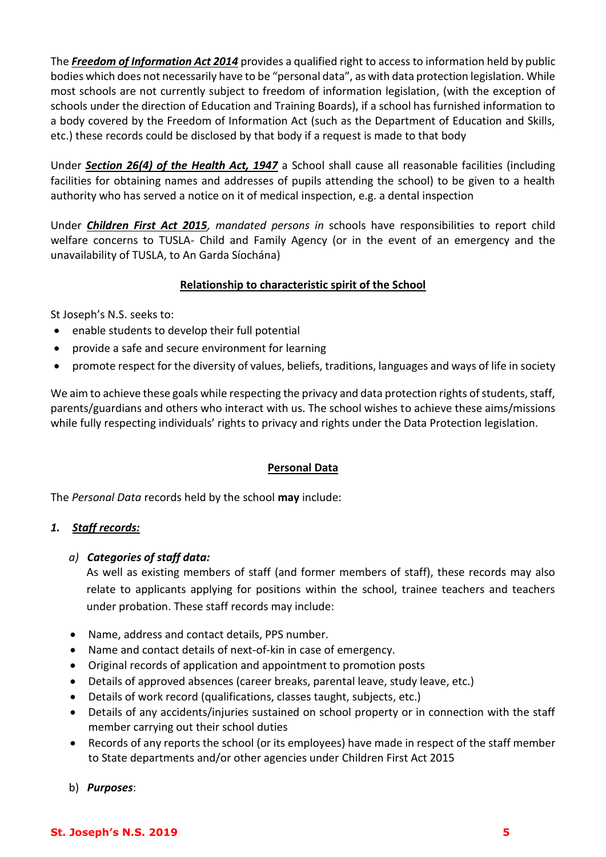The *Freedom of Information Act 2014* provides a qualified right to access to information held by public bodies which does not necessarily have to be "personal data", as with data protection legislation. While most schools are not currently subject to freedom of information legislation, (with the exception of schools under the direction of Education and Training Boards), if a school has furnished information to a body covered by the Freedom of Information Act (such as the Department of Education and Skills, etc.) these records could be disclosed by that body if a request is made to that body

Under *Section 26(4) of the Health Act, 1947* a School shall cause all reasonable facilities (including facilities for obtaining names and addresses of pupils attending the school) to be given to a health authority who has served a notice on it of medical inspection, e.g. a dental inspection

Under *Children First Act 2015, mandated persons in* schools have responsibilities to report child welfare concerns to TUSLA- Child and Family Agency (or in the event of an emergency and the unavailability of TUSLA, to An Garda Síochána)

# **Relationship to characteristic spirit of the School**

St Joseph's N.S. seeks to:

- enable students to develop their full potential
- provide a safe and secure environment for learning
- promote respect for the diversity of values, beliefs, traditions, languages and ways of life in society

We aim to achieve these goals while respecting the privacy and data protection rights of students, staff, parents/guardians and others who interact with us. The school wishes to achieve these aims/missions while fully respecting individuals' rights to privacy and rights under the Data Protection legislation.

# **Personal Data**

The *Personal Data* records held by the school **may** include:

# *1. Staff records:*

# *a) Categories of staff data:*

As well as existing members of staff (and former members of staff), these records may also relate to applicants applying for positions within the school, trainee teachers and teachers under probation. These staff records may include:

- Name, address and contact details, PPS number.
- Name and contact details of next-of-kin in case of emergency.
- Original records of application and appointment to promotion posts
- Details of approved absences (career breaks, parental leave, study leave, etc.)
- Details of work record (qualifications, classes taught, subjects, etc.)
- Details of any accidents/injuries sustained on school property or in connection with the staff member carrying out their school duties
- Records of any reports the school (or its employees) have made in respect of the staff member to State departments and/or other agencies under Children First Act 2015
- b) *Purposes*: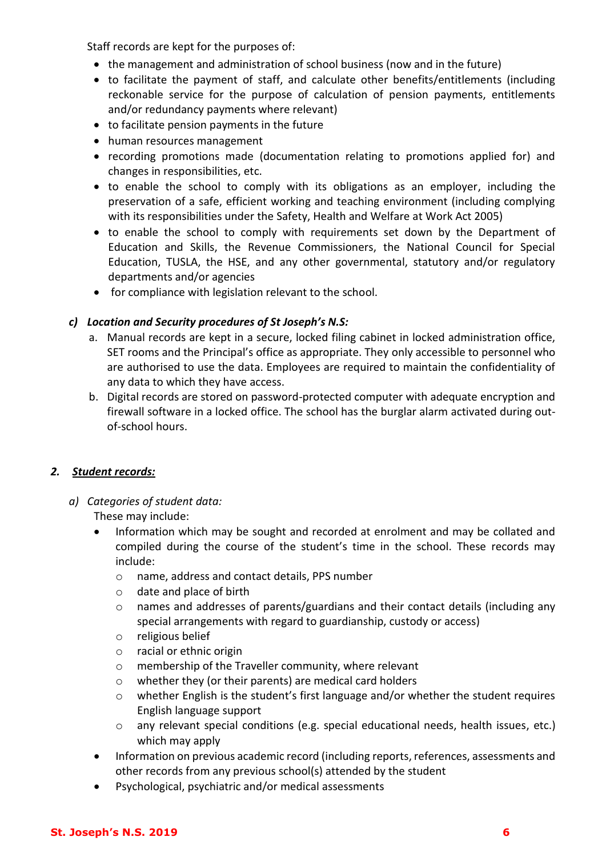Staff records are kept for the purposes of:

- the management and administration of school business (now and in the future)
- to facilitate the payment of staff, and calculate other benefits/entitlements (including reckonable service for the purpose of calculation of pension payments, entitlements and/or redundancy payments where relevant)
- to facilitate pension payments in the future
- human resources management
- recording promotions made (documentation relating to promotions applied for) and changes in responsibilities, etc.
- to enable the school to comply with its obligations as an employer, including the preservation of a safe, efficient working and teaching environment (including complying with its responsibilities under the Safety, Health and Welfare at Work Act 2005)
- to enable the school to comply with requirements set down by the Department of Education and Skills, the Revenue Commissioners, the National Council for Special Education, TUSLA, the HSE, and any other governmental, statutory and/or regulatory departments and/or agencies
- for compliance with legislation relevant to the school.

# *c) Location and Security procedures of St Joseph's N.S:*

- a. Manual records are kept in a secure, locked filing cabinet in locked administration office, SET rooms and the Principal's office as appropriate. They only accessible to personnel who are authorised to use the data. Employees are required to maintain the confidentiality of any data to which they have access.
- b. Digital records are stored on password-protected computer with adequate encryption and firewall software in a locked office. The school has the burglar alarm activated during outof-school hours.

# *2. Student records:*

*a) Categories of student data:* 

These may include:

- Information which may be sought and recorded at enrolment and may be collated and compiled during the course of the student's time in the school. These records may include:
	- o name, address and contact details, PPS number
	- o date and place of birth
	- o names and addresses of parents/guardians and their contact details (including any special arrangements with regard to guardianship, custody or access)
	- o religious belief
	- o racial or ethnic origin
	- o membership of the Traveller community, where relevant
	- o whether they (or their parents) are medical card holders
	- $\circ$  whether English is the student's first language and/or whether the student requires English language support
	- o any relevant special conditions (e.g. special educational needs, health issues, etc.) which may apply
- Information on previous academic record (including reports, references, assessments and other records from any previous school(s) attended by the student
- Psychological, psychiatric and/or medical assessments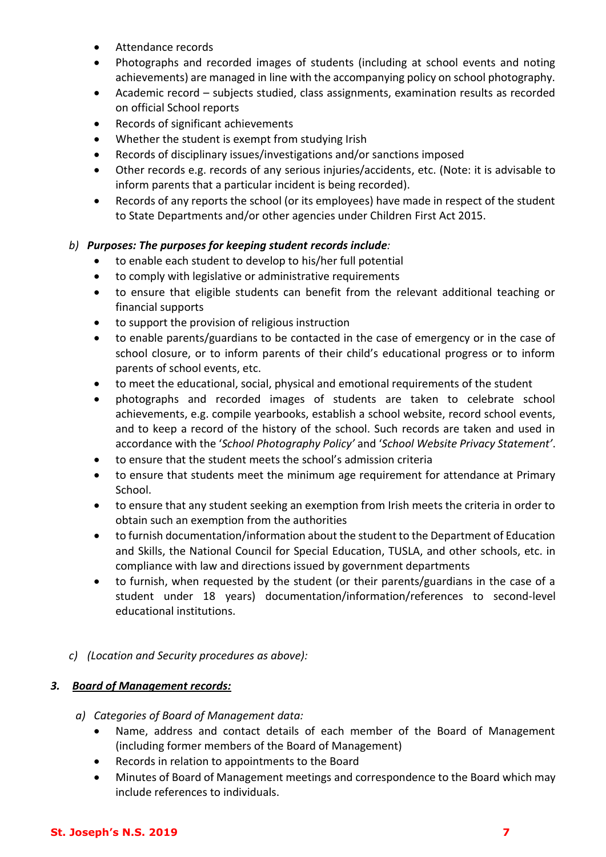- Attendance records
- Photographs and recorded images of students (including at school events and noting achievements) are managed in line with the accompanying policy on school photography.
- Academic record subjects studied, class assignments, examination results as recorded on official School reports
- Records of significant achievements
- Whether the student is exempt from studying Irish
- Records of disciplinary issues/investigations and/or sanctions imposed
- Other records e.g. records of any serious injuries/accidents, etc. (Note: it is advisable to inform parents that a particular incident is being recorded).
- Records of any reports the school (or its employees) have made in respect of the student to State Departments and/or other agencies under Children First Act 2015.

# *b) Purposes: The purposes for keeping student records include:*

- to enable each student to develop to his/her full potential
- to comply with legislative or administrative requirements
- to ensure that eligible students can benefit from the relevant additional teaching or financial supports
- to support the provision of religious instruction
- to enable parents/guardians to be contacted in the case of emergency or in the case of school closure, or to inform parents of their child's educational progress or to inform parents of school events, etc.
- to meet the educational, social, physical and emotional requirements of the student
- photographs and recorded images of students are taken to celebrate school achievements, e.g. compile yearbooks, establish a school website, record school events, and to keep a record of the history of the school. Such records are taken and used in accordance with the '*School Photography Policy'* and '*School Website Privacy Statement'*.
- to ensure that the student meets the school's admission criteria
- to ensure that students meet the minimum age requirement for attendance at Primary School.
- to ensure that any student seeking an exemption from Irish meets the criteria in order to obtain such an exemption from the authorities
- to furnish documentation/information about the student to the Department of Education and Skills, the National Council for Special Education, TUSLA, and other schools, etc. in compliance with law and directions issued by government departments
- to furnish, when requested by the student (or their parents/guardians in the case of a student under 18 years) documentation/information/references to second-level educational institutions.
- *c) (Location and Security procedures as above):*

# *3. Board of Management records:*

- *a) Categories of Board of Management data:*
	- Name, address and contact details of each member of the Board of Management (including former members of the Board of Management)
	- Records in relation to appointments to the Board
	- Minutes of Board of Management meetings and correspondence to the Board which may include references to individuals.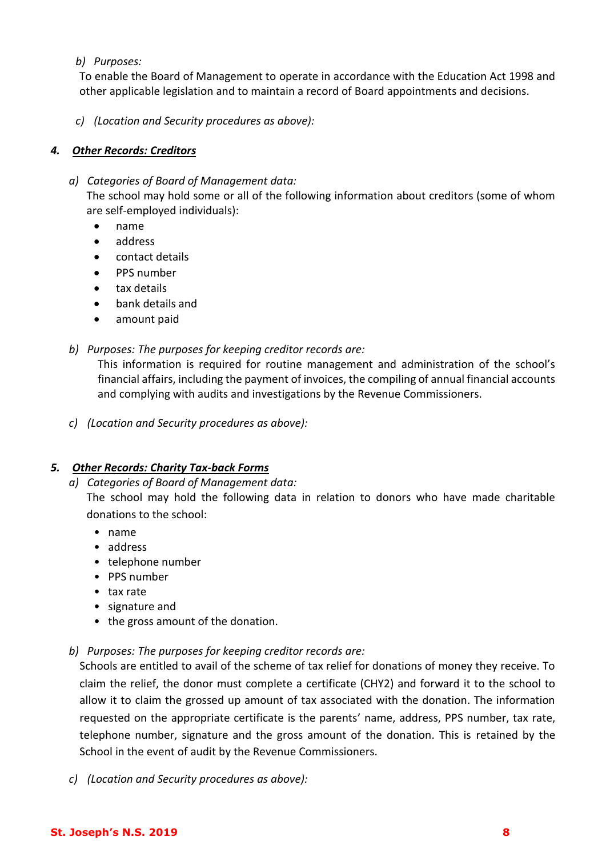### *b) Purposes:*

To enable the Board of Management to operate in accordance with the Education Act 1998 and other applicable legislation and to maintain a record of Board appointments and decisions.

*c) (Location and Security procedures as above):* 

## *4. Other Records: Creditors*

- *a) Categories of Board of Management data:* The school may hold some or all of the following information about creditors (some of whom are self-employed individuals):
	- name
	- address
	- contact details
	- PPS number
	- tax details
	- bank details and
	- amount paid
- *b) Purposes: The purposes for keeping creditor records are:*

This information is required for routine management and administration of the school's financial affairs, including the payment of invoices, the compiling of annual financial accounts and complying with audits and investigations by the Revenue Commissioners.

*c) (Location and Security procedures as above):* 

# *5. Other Records: Charity Tax-back Forms*

*a) Categories of Board of Management data:*

The school may hold the following data in relation to donors who have made charitable donations to the school:

- name
- address
- telephone number
- PPS number
- tax rate
- signature and
- the gross amount of the donation.
- *b) Purposes: The purposes for keeping creditor records are:*

Schools are entitled to avail of the scheme of tax relief for donations of money they receive. To claim the relief, the donor must complete a certificate (CHY2) and forward it to the school to allow it to claim the grossed up amount of tax associated with the donation. The information requested on the appropriate certificate is the parents' name, address, PPS number, tax rate, telephone number, signature and the gross amount of the donation. This is retained by the School in the event of audit by the Revenue Commissioners.

*c) (Location and Security procedures as above):*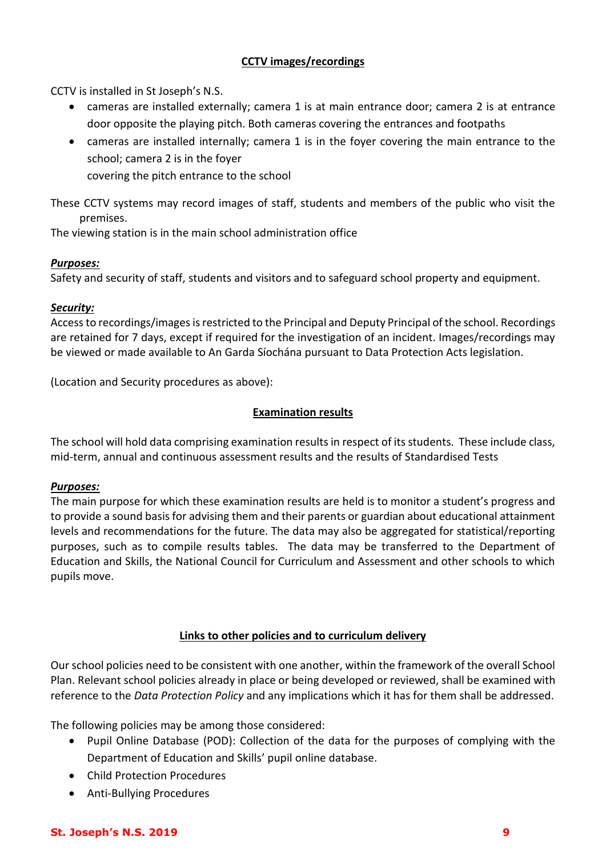# **CCTV images/recordings**

CCTV is installed in St Joseph's N.S.

- cameras are installed externally; camera 1 is at main entrance door; camera 2 is at entrance door opposite the playing pitch. Both cameras covering the entrances and footpaths
- cameras are installed internally; camera 1 is in the foyer covering the main entrance to the school; camera 2 is in the foyer

covering the pitch entrance to the school

These CCTV systems may record images of staff, students and members of the public who visit the premises.

The viewing station is in the main school administration office

## *Purposes:*

Safety and security of staff, students and visitors and to safeguard school property and equipment.

## *Security:*

Access to recordings/imagesis restricted to the Principal and Deputy Principal of the school. Recordings are retained for 7 days, except if required for the investigation of an incident. Images/recordings may be viewed or made available to An Garda Síochána pursuant to Data Protection Acts legislation.

(Location and Security procedures as above):

## **Examination results**

The school will hold data comprising examination results in respect of its students. These include class, mid-term, annual and continuous assessment results and the results of Standardised Tests

### *Purposes:*

The main purpose for which these examination results are held is to monitor a student's progress and to provide a sound basis for advising them and their parents or guardian about educational attainment levels and recommendations for the future. The data may also be aggregated for statistical/reporting purposes, such as to compile results tables. The data may be transferred to the Department of Education and Skills, the National Council for Curriculum and Assessment and other schools to which pupils move.

# **Links to other policies and to curriculum delivery**

Our school policies need to be consistent with one another, within the framework of the overall School Plan. Relevant school policies already in place or being developed or reviewed, shall be examined with reference to the *Data Protection Policy* and any implications which it has for them shall be addressed.

The following policies may be among those considered:

- Pupil Online Database (POD): Collection of the data for the purposes of complying with the Department of Education and Skills' pupil online database.
- Child Protection Procedures
- Anti-Bullying Procedures

### **St. Joseph's N.S. 2019 9**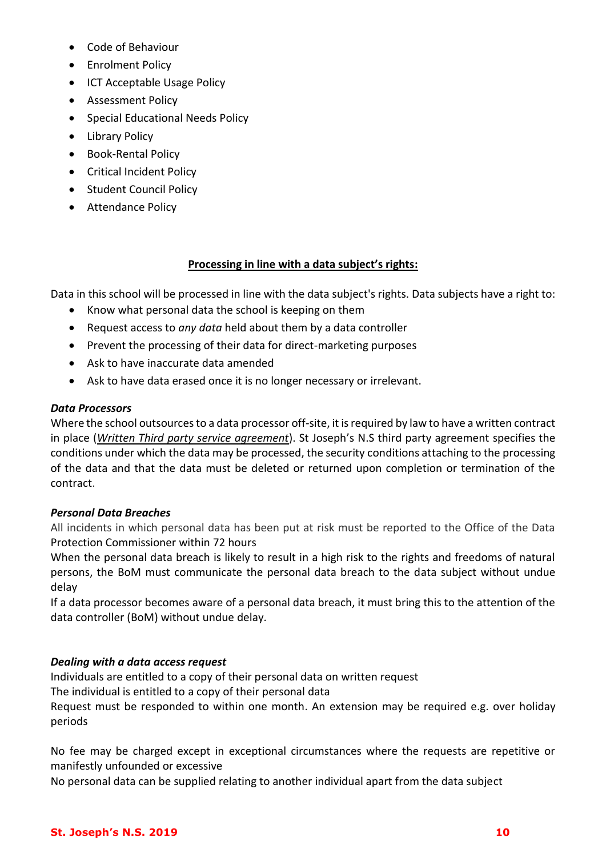- Code of Behaviour
- **•** Enrolment Policy
- ICT Acceptable Usage Policy
- **•** Assessment Policy
- Special Educational Needs Policy
- Library Policy
- Book-Rental Policy
- **•** Critical Incident Policy
- Student Council Policy
- **•** Attendance Policy

### **Processing in line with a data subject's rights:**

Data in this school will be processed in line with the data subject's rights. Data subjects have a right to:

- Know what personal data the school is keeping on them
- Request access to *any data* held about them by a data controller
- Prevent the processing of their data for direct-marketing purposes
- Ask to have inaccurate data amended
- Ask to have data erased once it is no longer necessary or irrelevant.

### *Data Processors*

Where the school outsources to a data processor off-site, it is required by law to have a written contract in place (*Written Third party service agreement*). St Joseph's N.S third party agreement specifies the conditions under which the data may be processed, the security conditions attaching to the processing of the data and that the data must be deleted or returned upon completion or termination of the contract.

### *Personal Data Breaches*

All incidents in which personal data has been put at risk must be reported to the Office of the Data Protection Commissioner within 72 hours

When the personal data breach is likely to result in a high risk to the rights and freedoms of natural persons, the BoM must communicate the personal data breach to the data subject without undue delay

If a data processor becomes aware of a personal data breach, it must bring this to the attention of the data controller (BoM) without undue delay.

### *Dealing with a data access request*

Individuals are entitled to a copy of their personal data on written request

The individual is entitled to a copy of their personal data

Request must be responded to within one month. An extension may be required e.g. over holiday periods

No fee may be charged except in exceptional circumstances where the requests are repetitive or manifestly unfounded or excessive

No personal data can be supplied relating to another individual apart from the data subject